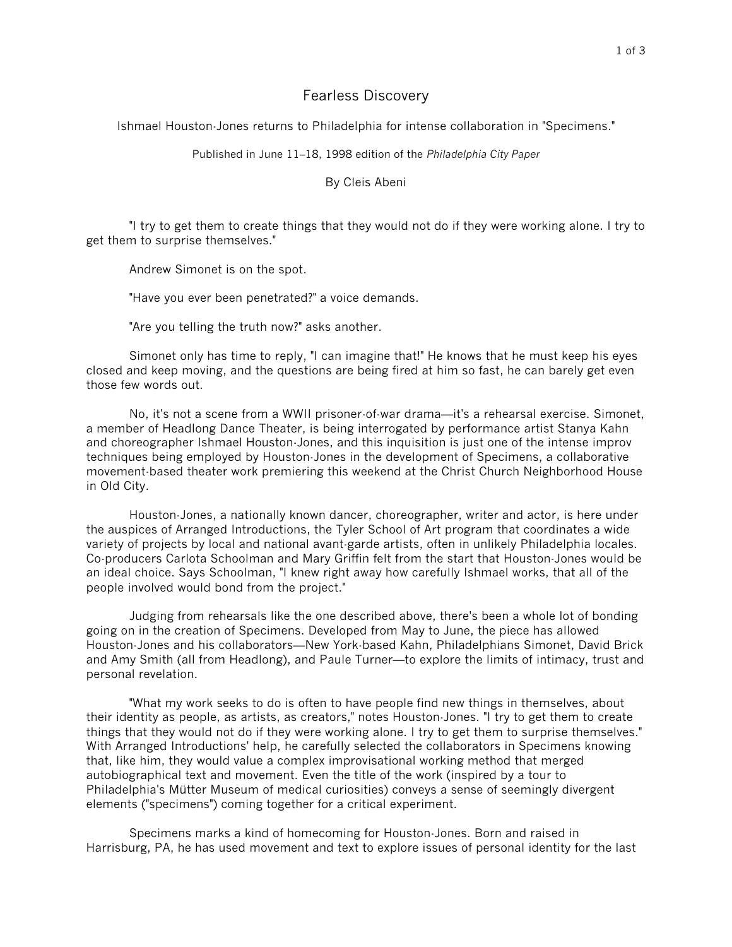## Fearless Discovery

Ishmael Houston-Jones returns to Philadelphia for intense collaboration in "Specimens."

Published in June 11–18, 1998 edition of the *Philadelphia City Paper*

By Cleis Abeni

"I try to get them to create things that they would not do if they were working alone. I try to get them to surprise themselves."

Andrew Simonet is on the spot.

"Have you ever been penetrated?" a voice demands.

"Are you telling the truth now?" asks another.

Simonet only has time to reply, "I can imagine that!" He knows that he must keep his eyes closed and keep moving, and the questions are being fired at him so fast, he can barely get even those few words out.

No, it's not a scene from a WWII prisoner-of-war drama—it's a rehearsal exercise. Simonet, a member of Headlong Dance Theater, is being interrogated by performance artist Stanya Kahn and choreographer Ishmael Houston-Jones, and this inquisition is just one of the intense improv techniques being employed by Houston-Jones in the development of Specimens, a collaborative movement-based theater work premiering this weekend at the Christ Church Neighborhood House in Old City.

Houston-Jones, a nationally known dancer, choreographer, writer and actor, is here under the auspices of Arranged Introductions, the Tyler School of Art program that coordinates a wide variety of projects by local and national avant-garde artists, often in unlikely Philadelphia locales. Co-producers Carlota Schoolman and Mary Griffin felt from the start that Houston-Jones would be an ideal choice. Says Schoolman, "I knew right away how carefully Ishmael works, that all of the people involved would bond from the project."

Judging from rehearsals like the one described above, there's been a whole lot of bonding going on in the creation of Specimens. Developed from May to June, the piece has allowed Houston-Jones and his collaborators—New York-based Kahn, Philadelphians Simonet, David Brick and Amy Smith (all from Headlong), and Paule Turner—to explore the limits of intimacy, trust and personal revelation.

"What my work seeks to do is often to have people find new things in themselves, about their identity as people, as artists, as creators," notes Houston-Jones. "I try to get them to create things that they would not do if they were working alone. I try to get them to surprise themselves." With Arranged Introductions' help, he carefully selected the collaborators in Specimens knowing that, like him, they would value a complex improvisational working method that merged autobiographical text and movement. Even the title of the work (inspired by a tour to Philadelphia's Mütter Museum of medical curiosities) conveys a sense of seemingly divergent elements ("specimens") coming together for a critical experiment.

Specimens marks a kind of homecoming for Houston-Jones. Born and raised in Harrisburg, PA, he has used movement and text to explore issues of personal identity for the last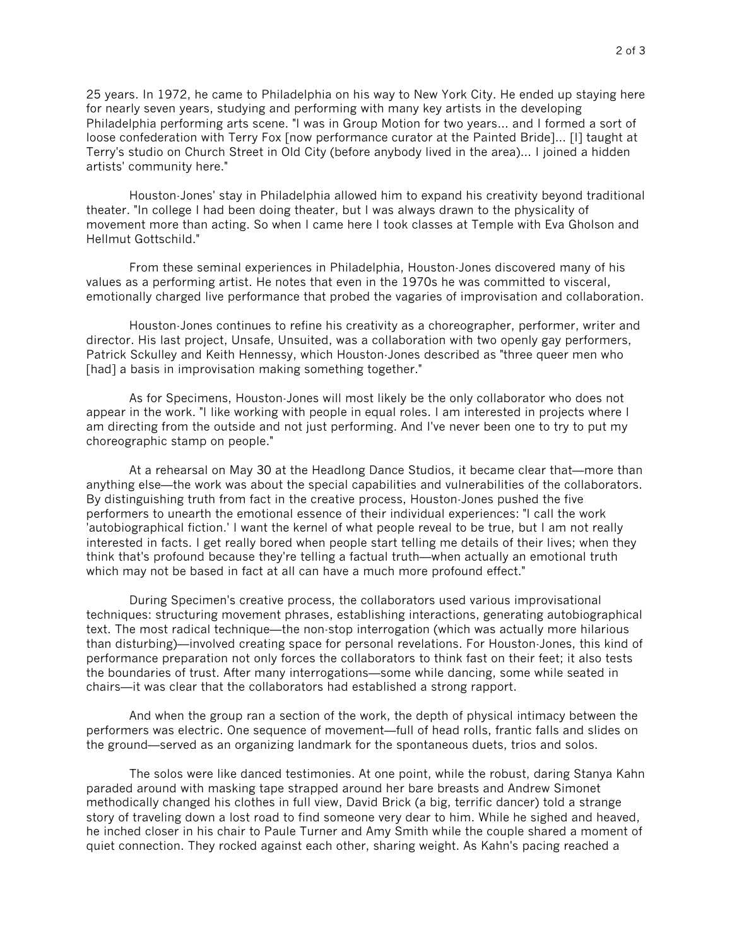25 years. In 1972, he came to Philadelphia on his way to New York City. He ended up staying here for nearly seven years, studying and performing with many key artists in the developing Philadelphia performing arts scene. "I was in Group Motion for two years… and I formed a sort of loose confederation with Terry Fox [now performance curator at the Painted Bride]… [I] taught at Terry's studio on Church Street in Old City (before anybody lived in the area)… I joined a hidden artists' community here."

Houston-Jones' stay in Philadelphia allowed him to expand his creativity beyond traditional theater. "In college I had been doing theater, but I was always drawn to the physicality of movement more than acting. So when I came here I took classes at Temple with Eva Gholson and Hellmut Gottschild."

From these seminal experiences in Philadelphia, Houston-Jones discovered many of his values as a performing artist. He notes that even in the 1970s he was committed to visceral, emotionally charged live performance that probed the vagaries of improvisation and collaboration.

Houston-Jones continues to refine his creativity as a choreographer, performer, writer and director. His last project, Unsafe, Unsuited, was a collaboration with two openly gay performers, Patrick Sckulley and Keith Hennessy, which Houston-Jones described as "three queer men who [had] a basis in improvisation making something together."

As for Specimens, Houston-Jones will most likely be the only collaborator who does not appear in the work. "I like working with people in equal roles. I am interested in projects where I am directing from the outside and not just performing. And I've never been one to try to put my choreographic stamp on people."

At a rehearsal on May 30 at the Headlong Dance Studios, it became clear that—more than anything else—the work was about the special capabilities and vulnerabilities of the collaborators. By distinguishing truth from fact in the creative process, Houston-Jones pushed the five performers to unearth the emotional essence of their individual experiences: "I call the work 'autobiographical fiction.' I want the kernel of what people reveal to be true, but I am not really interested in facts. I get really bored when people start telling me details of their lives; when they think that's profound because they're telling a factual truth—when actually an emotional truth which may not be based in fact at all can have a much more profound effect."

During Specimen's creative process, the collaborators used various improvisational techniques: structuring movement phrases, establishing interactions, generating autobiographical text. The most radical technique—the non-stop interrogation (which was actually more hilarious than disturbing)—involved creating space for personal revelations. For Houston-Jones, this kind of performance preparation not only forces the collaborators to think fast on their feet; it also tests the boundaries of trust. After many interrogations—some while dancing, some while seated in chairs—it was clear that the collaborators had established a strong rapport.

And when the group ran a section of the work, the depth of physical intimacy between the performers was electric. One sequence of movement—full of head rolls, frantic falls and slides on the ground—served as an organizing landmark for the spontaneous duets, trios and solos.

The solos were like danced testimonies. At one point, while the robust, daring Stanya Kahn paraded around with masking tape strapped around her bare breasts and Andrew Simonet methodically changed his clothes in full view, David Brick (a big, terrific dancer) told a strange story of traveling down a lost road to find someone very dear to him. While he sighed and heaved, he inched closer in his chair to Paule Turner and Amy Smith while the couple shared a moment of quiet connection. They rocked against each other, sharing weight. As Kahn's pacing reached a